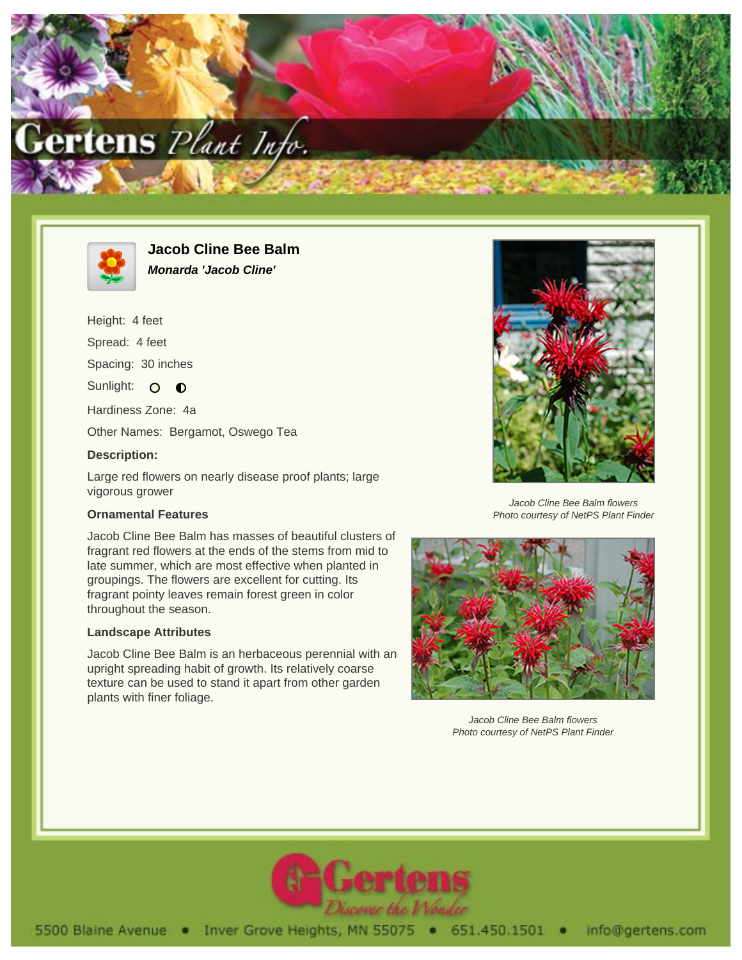



**Jacob Cline Bee Balm Monarda 'Jacob Cline'**

Height: 4 feet Spread: 4 feet

Spacing: 30 inches

Sunlight: O  $\bullet$ 

Hardiness Zone: 4a

Other Names: Bergamot, Oswego Tea

## **Description:**

Large red flowers on nearly disease proof plants; large vigorous grower

## **Ornamental Features**

Jacob Cline Bee Balm has masses of beautiful clusters of fragrant red flowers at the ends of the stems from mid to late summer, which are most effective when planted in groupings. The flowers are excellent for cutting. Its fragrant pointy leaves remain forest green in color throughout the season.

## **Landscape Attributes**

Jacob Cline Bee Balm is an herbaceous perennial with an upright spreading habit of growth. Its relatively coarse texture can be used to stand it apart from other garden plants with finer foliage.



Jacob Cline Bee Balm flowers Photo courtesy of NetPS Plant Finder



Jacob Cline Bee Balm flowers Photo courtesy of NetPS Plant Finder